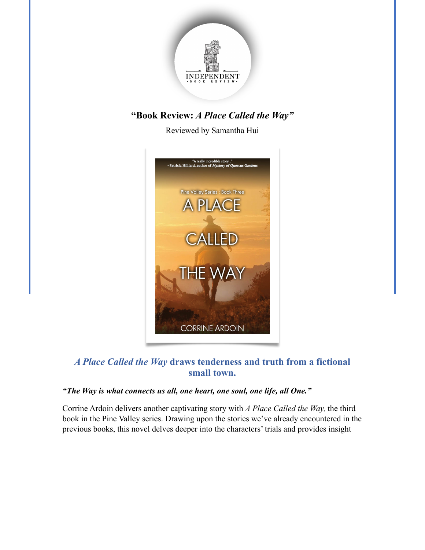

# **"Book Review:** *A Place Called the Way"*

Reviewed by Samantha Hui



## *A Place Called the Way* **draws tenderness and truth from a fictional small town.**

#### *"The Way is what connects us all, one heart, one soul, one life, all One."*

Corrine Ardoin delivers another captivating story with *A Place Called the Way,* the third book in the Pine Valley series. Drawing upon the stories we've already encountered in the previous books, this novel delves deeper into the characters' trials and provides insight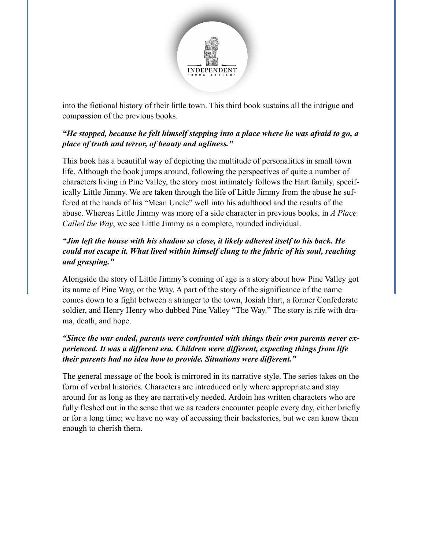

into the fictional history of their little town. This third book sustains all the intrigue and compassion of the previous books.

#### *"He stopped, because he felt himself stepping into a place where he was afraid to go, a place of truth and terror, of beauty and ugliness."*

This book has a beautiful way of depicting the multitude of personalities in small town life. Although the book jumps around, following the perspectives of quite a number of characters living in Pine Valley, the story most intimately follows the Hart family, specifically Little Jimmy. We are taken through the life of Little Jimmy from the abuse he suffered at the hands of his "Mean Uncle" well into his adulthood and the results of the abuse. Whereas Little Jimmy was more of a side character in previous books, in *A Place Called the Way*, we see Little Jimmy as a complete, rounded individual.

### *"Jim left the house with his shadow so close, it likely adhered itself to his back. He could not escape it. What lived within himself clung to the fabric of his soul, reaching and grasping."*

Alongside the story of Little Jimmy's coming of age is a story about how Pine Valley got its name of Pine Way, or the Way. A part of the story of the significance of the name comes down to a fight between a stranger to the town, Josiah Hart, a former Confederate soldier, and Henry Henry who dubbed Pine Valley "The Way." The story is rife with drama, death, and hope.

### *"Since the war ended, parents were confronted with things their own parents never experienced. It was a different era. Children were different, expecting things from life their parents had no idea how to provide. Situations were different."*

The general message of the book is mirrored in its narrative style. The series takes on the form of verbal histories. Characters are introduced only where appropriate and stay around for as long as they are narratively needed. Ardoin has written characters who are fully fleshed out in the sense that we as readers encounter people every day, either briefly or for a long time; we have no way of accessing their backstories, but we can know them enough to cherish them.